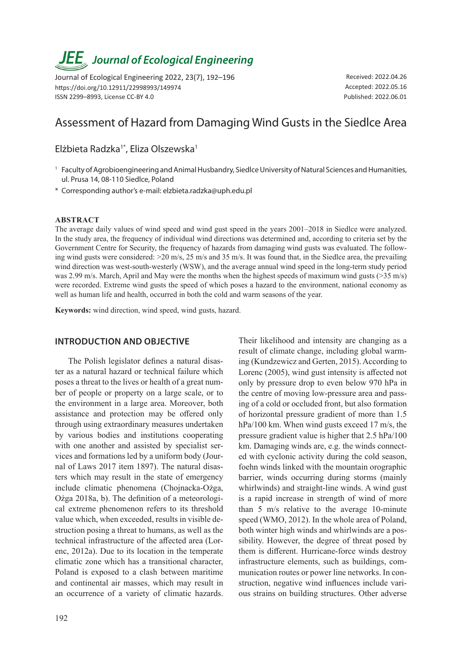# *JEE<sub>,</sub> Journal of Ecological Engineering*

Journal of Ecological Engineering 2022, 23(7), 192–196 https://doi.org/10.12911/22998993/149974 ISSN 2299–8993, License CC-BY 4.0

Received: 2022.04.26 Accepted: 2022.05.16 Published: 2022.06.01

## Assessment of Hazard from Damaging Wind Gusts in the Siedlce Area

### Elżbieta Radzka<sup>1\*</sup>, Eliza Olszewska<sup>1</sup>

- <sup>1</sup> Faculty of Agrobioengineering and Animal Husbandry, Siedlce University of Natural Sciences and Humanities, ul. Prusa 14, 08-110 Siedlce, Poland
- \* Corresponding author's e-mail: elzbieta.radzka@uph.edu.pl

#### **ABSTRACT**

The average daily values of wind speed and wind gust speed in the years 2001–2018 in Siedlce were analyzed. In the study area, the frequency of individual wind directions was determined and, according to criteria set by the Government Centre for Security, the frequency of hazards from damaging wind gusts was evaluated. The following wind gusts were considered: >20 m/s, 25 m/s and 35 m/s. It was found that, in the Siedlce area, the prevailing wind direction was west-south-westerly (WSW), and the average annual wind speed in the long-term study period was 2.99 m/s. March, April and May were the months when the highest speeds of maximum wind gusts (>35 m/s) were recorded. Extreme wind gusts the speed of which poses a hazard to the environment, national economy as well as human life and health, occurred in both the cold and warm seasons of the year.

**Keywords:** wind direction, wind speed, wind gusts, hazard.

#### **INTRODUCTION AND OBJECTIVE**

The Polish legislator defines a natural disaster as a natural hazard or technical failure which poses a threat to the lives or health of a great number of people or property on a large scale, or to the environment in a large area. Moreover, both assistance and protection may be offered only through using extraordinary measures undertaken by various bodies and institutions cooperating with one another and assisted by specialist services and formations led by a uniform body (Journal of Laws 2017 item 1897). The natural disasters which may result in the state of emergency include climatic phenomena (Chojnacka-Ożga, Ożga 2018a, b). The definition of a meteorological extreme phenomenon refers to its threshold value which, when exceeded, results in visible destruction posing a threat to humans, as well as the technical infrastructure of the affected area (Lorenc, 2012a). Due to its location in the temperate climatic zone which has a transitional character, Poland is exposed to a clash between maritime and continental air masses, which may result in an occurrence of a variety of climatic hazards. Their likelihood and intensity are changing as a result of climate change, including global warming (Kundzewicz and Gerten, 2015). According to Lorenc (2005), wind gust intensity is affected not only by pressure drop to even below 970 hPa in the centre of moving low-pressure area and passing of a cold or occluded front, but also formation of horizontal pressure gradient of more than 1.5 hPa/100 km. When wind gusts exceed 17 m/s, the pressure gradient value is higher that 2.5 hPa/100 km. Damaging winds are, e.g. the winds connected with cyclonic activity during the cold season, foehn winds linked with the mountain orographic barrier, winds occurring during storms (mainly whirlwinds) and straight-line winds. A wind gust is a rapid increase in strength of wind of more than 5 m/s relative to the average 10-minute speed (WMO, 2012). In the whole area of Poland, both winter high winds and whirlwinds are a possibility. However, the degree of threat posed by them is different. Hurricane-force winds destroy infrastructure elements, such as buildings, communication routes or power line networks. In construction, negative wind influences include various strains on building structures. Other adverse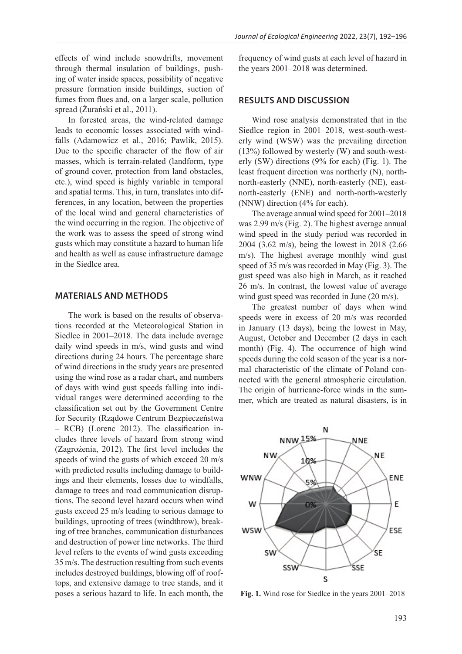effects of wind include snowdrifts, movement through thermal insulation of buildings, pushing of water inside spaces, possibility of negative pressure formation inside buildings, suction of fumes from flues and, on a larger scale, pollution spread (Żurański et al., 2011).

In forested areas, the wind-related damage leads to economic losses associated with windfalls (Adamowicz et al., 2016; Pawlik, 2015). Due to the specific character of the flow of air masses, which is terrain-related (landform, type of ground cover, protection from land obstacles, etc.), wind speed is highly variable in temporal and spatial terms. This, in turn, translates into differences, in any location, between the properties of the local wind and general characteristics of the wind occurring in the region. The objective of the work was to assess the speed of strong wind gusts which may constitute a hazard to human life and health as well as cause infrastructure damage in the Siedlce area.

#### **MATERIALS AND METHODS**

The work is based on the results of observations recorded at the Meteorological Station in Siedlce in 2001–2018. The data include average daily wind speeds in m/s, wind gusts and wind directions during 24 hours. The percentage share of wind directions in the study years are presented using the wind rose as a radar chart, and numbers of days with wind gust speeds falling into individual ranges were determined according to the classification set out by the Government Centre for Security (Rządowe Centrum Bezpieczeństwa – RCB) (Lorenc 2012). The classification includes three levels of hazard from strong wind (Zagrożenia, 2012). The first level includes the speeds of wind the gusts of which exceed 20 m/s with predicted results including damage to buildings and their elements, losses due to windfalls, damage to trees and road communication disruptions. The second level hazard occurs when wind gusts exceed 25 m/s leading to serious damage to buildings, uprooting of trees (windthrow), breaking of tree branches, communication disturbances and destruction of power line networks. The third level refers to the events of wind gusts exceeding 35 m/s. The destruction resulting from such events includes destroyed buildings, blowing off of rooftops, and extensive damage to tree stands, and it poses a serious hazard to life. In each month, the

frequency of wind gusts at each level of hazard in the years 2001–2018 was determined.

#### **RESULTS AND DISCUSSION**

Wind rose analysis demonstrated that in the Siedlce region in 2001–2018, west-south-westerly wind (WSW) was the prevailing direction (13%) followed by westerly (W) and south-westerly (SW) directions (9% for each) (Fig. 1). The least frequent direction was northerly (N), northnorth-easterly (NNE), north-easterly (NE), eastnorth-easterly (ENE) and north-north-westerly (NNW) direction (4% for each).

The average annual wind speed for 2001–2018 was 2.99 m/s (Fig. 2). The highest average annual wind speed in the study period was recorded in 2004 (3.62 m/s), being the lowest in 2018 (2.66 m/s). The highest average monthly wind gust speed of 35 m/s was recorded in May (Fig. 3). The gust speed was also high in March, as it reached 26 m/s. In contrast, the lowest value of average wind gust speed was recorded in June (20 m/s).

The greatest number of days when wind speeds were in excess of 20 m/s was recorded in January (13 days), being the lowest in May, August, October and December (2 days in each month) (Fig. 4). The occurrence of high wind speeds during the cold season of the year is a normal characteristic of the climate of Poland connected with the general atmospheric circulation. The origin of hurricane-force winds in the summer, which are treated as natural disasters, is in



**Fig. 1.** Wind rose for Siedlce in the years 2001–2018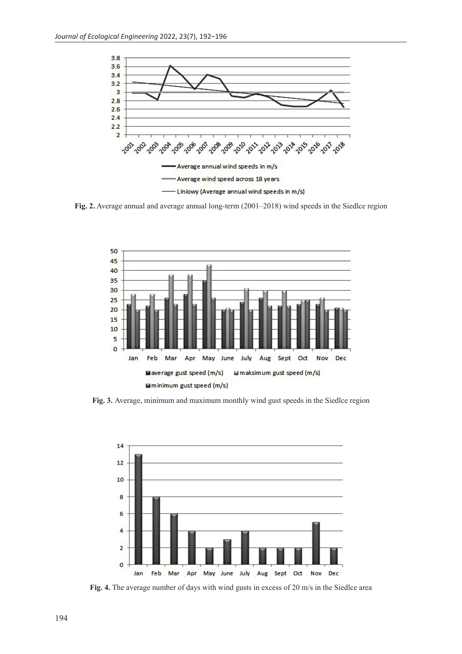

**Fig. 2.** Average annual and average annual long-term (2001–2018) wind speeds in the Siedlce region



**Fig. 3.** Average, minimum and maximum monthly wind gust speeds in the Siedlce region



**Fig. 4.** The average number of days with wind gusts in excess of 20 m/s in the Siedlce area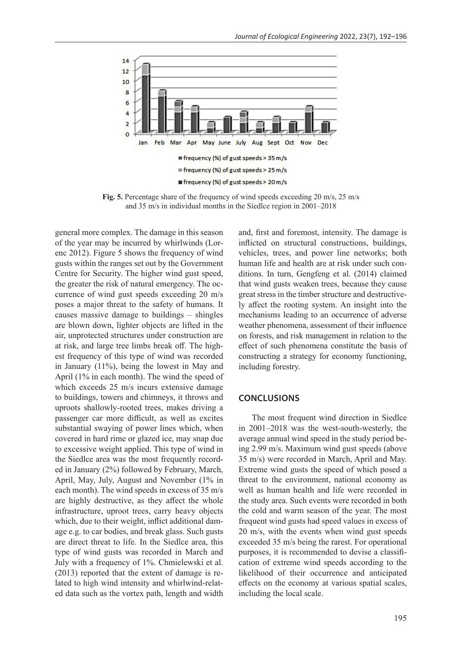

**Fig. 5.** Percentage share of the frequency of wind speeds exceeding 20 m/s, 25 m/s and 35 m/s in individual months in the Siedlce region in 2001–2018

general more complex. The damage in this season of the year may be incurred by whirlwinds (Lorenc 2012). Figure 5 shows the frequency of wind gusts within the ranges set out by the Government Centre for Security. The higher wind gust speed, the greater the risk of natural emergency. The occurrence of wind gust speeds exceeding 20 m/s poses a major threat to the safety of humans. It causes massive damage to buildings – shingles are blown down, lighter objects are lifted in the air, unprotected structures under construction are at risk, and large tree limbs break off. The highest frequency of this type of wind was recorded in January (11%), being the lowest in May and April (1% in each month). The wind the speed of which exceeds 25 m/s incurs extensive damage to buildings, towers and chimneys, it throws and uproots shallowly-rooted trees, makes driving a passenger car more difficult, as well as excites substantial swaying of power lines which, when covered in hard rime or glazed ice, may snap due to excessive weight applied. This type of wind in the Siedlce area was the most frequently recorded in January (2%) followed by February, March, April, May, July, August and November (1% in each month). The wind speeds in excess of 35 m/s are highly destructive, as they affect the whole infrastructure, uproot trees, carry heavy objects which, due to their weight, inflict additional damage e.g. to car bodies, and break glass. Such gusts are direct threat to life. In the Siedlce area, this type of wind gusts was recorded in March and July with a frequency of 1%. Chmielewski et al. (2013) reported that the extent of damage is related to high wind intensity and whirlwind-related data such as the vortex path, length and width

and, first and foremost, intensity. The damage is inflicted on structural constructions, buildings, vehicles, trees, and power line networks; both human life and health are at risk under such conditions. In turn, Gengfeng et al. (2014) claimed that wind gusts weaken trees, because they cause great stress in the timber structure and destructively affect the rooting system. An insight into the mechanisms leading to an occurrence of adverse weather phenomena, assessment of their influence on forests, and risk management in relation to the effect of such phenomena constitute the basis of constructing a strategy for economy functioning, including forestry.

#### **CONCLUSIONS**

The most frequent wind direction in Siedlce in 2001–2018 was the west-south-westerly, the average annual wind speed in the study period being 2.99 m/s. Maximum wind gust speeds (above 35 m/s) were recorded in March, April and May. Extreme wind gusts the speed of which posed a threat to the environment, national economy as well as human health and life were recorded in the study area. Such events were recorded in both the cold and warm season of the year. The most frequent wind gusts had speed values in excess of 20 m/s, with the events when wind gust speeds exceeded 35 m/s being the rarest. For operational purposes, it is recommended to devise a classification of extreme wind speeds according to the likelihood of their occurrence and anticipated effects on the economy at various spatial scales, including the local scale.